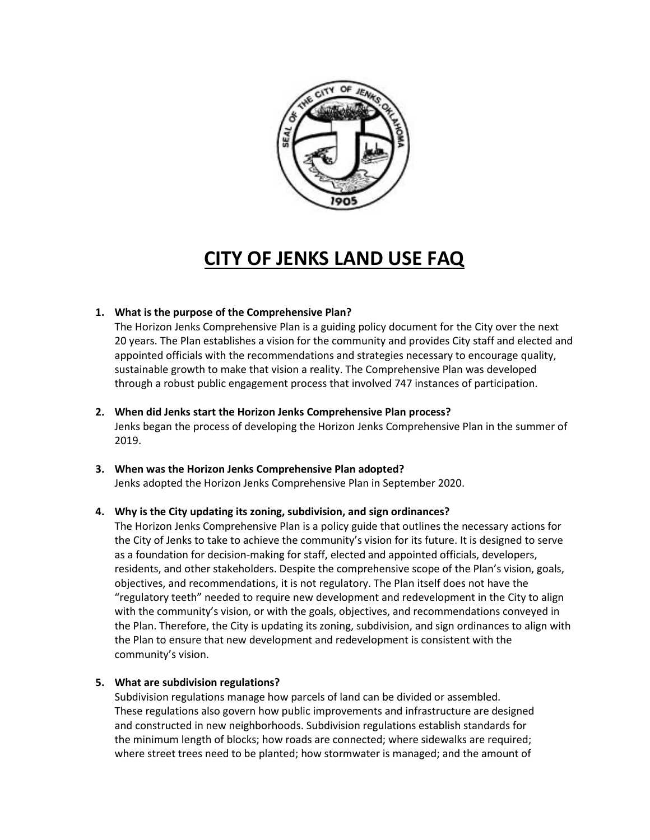

# **CITY OF JENKS LAND USE FAQ**

# **1. What is the purpose of the Comprehensive Plan?**

The Horizon Jenks Comprehensive Plan is a guiding policy document for the City over the next 20 years. The Plan establishes a vision for the community and provides City staff and elected and appointed officials with the recommendations and strategies necessary to encourage quality, sustainable growth to make that vision a reality. The Comprehensive Plan was developed through a robust public engagement process that involved 747 instances of participation.

# **2. When did Jenks start the Horizon Jenks Comprehensive Plan process?**

Jenks began the process of developing the Horizon Jenks Comprehensive Plan in the summer of 2019.

# **3. When was the Horizon Jenks Comprehensive Plan adopted?** Jenks adopted the Horizon Jenks Comprehensive Plan in September 2020.

# **4. Why is the City updating its zoning, subdivision, and sign ordinances?**

The Horizon Jenks Comprehensive Plan is a policy guide that outlines the necessary actions for the City of Jenks to take to achieve the community's vision for its future. It is designed to serve as a foundation for decision-making for staff, elected and appointed officials, developers, residents, and other stakeholders. Despite the comprehensive scope of the Plan's vision, goals, objectives, and recommendations, it is not regulatory. The Plan itself does not have the "regulatory teeth" needed to require new development and redevelopment in the City to align with the community's vision, or with the goals, objectives, and recommendations conveyed in the Plan. Therefore, the City is updating its zoning, subdivision, and sign ordinances to align with the Plan to ensure that new development and redevelopment is consistent with the community's vision.

# **5. What are subdivision regulations?**

Subdivision regulations manage how parcels of land can be divided or assembled. These regulations also govern how public improvements and infrastructure are designed and constructed in new neighborhoods. Subdivision regulations establish standards for the minimum length of blocks; how roads are connected; where sidewalks are required; where street trees need to be planted; how stormwater is managed; and the amount of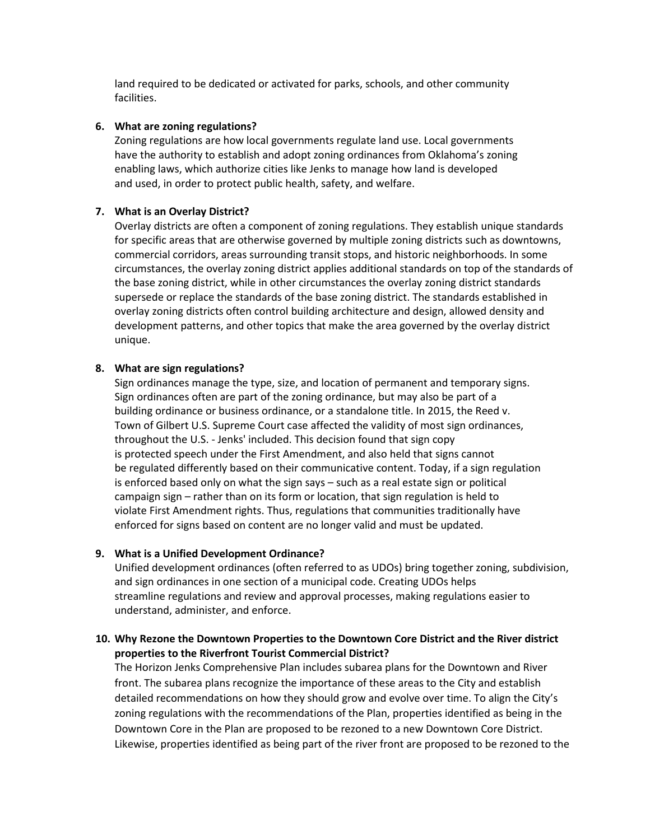land required to be dedicated or activated for parks, schools, and other community facilities.

#### **6. What are zoning regulations?**

Zoning regulations are how local governments regulate land use. Local governments have the authority to establish and adopt zoning ordinances from Oklahoma's zoning enabling laws, which authorize cities like Jenks to manage how land is developed and used, in order to protect public health, safety, and welfare.

#### **7. What is an Overlay District?**

Overlay districts are often a component of zoning regulations. They establish unique standards for specific areas that are otherwise governed by multiple zoning districts such as downtowns, commercial corridors, areas surrounding transit stops, and historic neighborhoods. In some circumstances, the overlay zoning district applies additional standards on top of the standards of the base zoning district, while in other circumstances the overlay zoning district standards supersede or replace the standards of the base zoning district. The standards established in overlay zoning districts often control building architecture and design, allowed density and development patterns, and other topics that make the area governed by the overlay district unique.

#### **8. What are sign regulations?**

Sign ordinances manage the type, size, and location of permanent and temporary signs. Sign ordinances often are part of the zoning ordinance, but may also be part of a building ordinance or business ordinance, or a standalone title. In 2015, the Reed v. Town of Gilbert U.S. Supreme Court case affected the validity of most sign ordinances, throughout the U.S. - Jenks' included. This decision found that sign copy is protected speech under the First Amendment, and also held that signs cannot be regulated differently based on their communicative content. Today, if a sign regulation is enforced based only on what the sign says – such as a real estate sign or political campaign sign – rather than on its form or location, that sign regulation is held to violate First Amendment rights. Thus, regulations that communities traditionally have enforced for signs based on content are no longer valid and must be updated.

#### **9. What is a Unified Development Ordinance?**

Unified development ordinances (often referred to as UDOs) bring together zoning, subdivision, and sign ordinances in one section of a municipal code. Creating UDOs helps streamline regulations and review and approval processes, making regulations easier to understand, administer, and enforce.

# **10. Why Rezone the Downtown Properties to the Downtown Core District and the River district properties to the Riverfront Tourist Commercial District?**

The Horizon Jenks Comprehensive Plan includes subarea plans for the Downtown and River front. The subarea plans recognize the importance of these areas to the City and establish detailed recommendations on how they should grow and evolve over time. To align the City's zoning regulations with the recommendations of the Plan, properties identified as being in the Downtown Core in the Plan are proposed to be rezoned to a new Downtown Core District. Likewise, properties identified as being part of the river front are proposed to be rezoned to the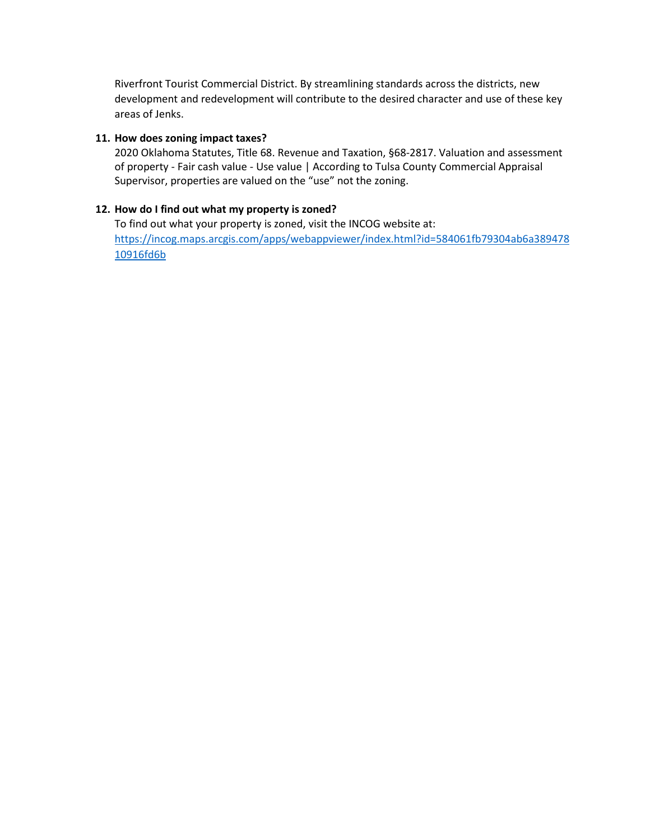Riverfront Tourist Commercial District. By streamlining standards across the districts, new development and redevelopment will contribute to the desired character and use of these key areas of Jenks.

#### **11. How does zoning impact taxes?**

2020 Oklahoma Statutes, Title 68. Revenue and Taxation, §68-2817. Valuation and assessment of property - Fair cash value - Use value | According to Tulsa County Commercial Appraisal Supervisor, properties are valued on the "use" not the zoning.

# **12. How do I find out what my property is zoned?**

To find out what your property is zoned, visit the INCOG website at: [https://incog.maps.arcgis.com/apps/webappviewer/index.html?id=584061fb79304ab6a389478](https://incog.maps.arcgis.com/apps/webappviewer/index.html?id=584061fb79304ab6a38947810916fd6b) [10916fd6b](https://incog.maps.arcgis.com/apps/webappviewer/index.html?id=584061fb79304ab6a38947810916fd6b)